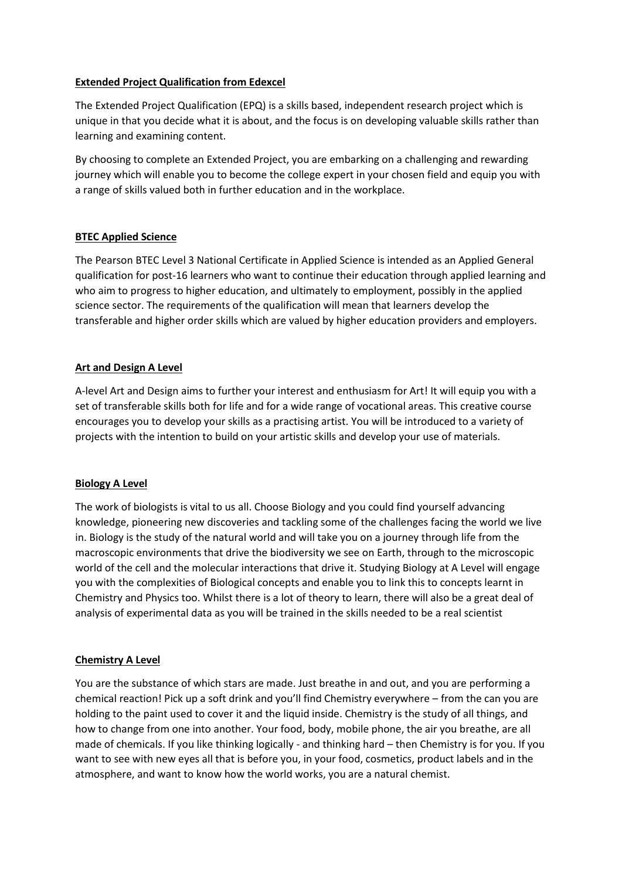## **Extended Project Qualification from Edexcel**

The Extended Project Qualification (EPQ) is a skills based, independent research project which is unique in that you decide what it is about, and the focus is on developing valuable skills rather than learning and examining content.

By choosing to complete an Extended Project, you are embarking on a challenging and rewarding journey which will enable you to become the college expert in your chosen field and equip you with a range of skills valued both in further education and in the workplace.

# **BTEC Applied Science**

The Pearson BTEC Level 3 National Certificate in Applied Science is intended as an Applied General qualification for post-16 learners who want to continue their education through applied learning and who aim to progress to higher education, and ultimately to employment, possibly in the applied science sector. The requirements of the qualification will mean that learners develop the transferable and higher order skills which are valued by higher education providers and employers.

## **Art and Design A Level**

A-level Art and Design aims to further your interest and enthusiasm for Art! It will equip you with a set of transferable skills both for life and for a wide range of vocational areas. This creative course encourages you to develop your skills as a practising artist. You will be introduced to a variety of projects with the intention to build on your artistic skills and develop your use of materials.

# **Biology A Level**

The work of biologists is vital to us all. Choose Biology and you could find yourself advancing knowledge, pioneering new discoveries and tackling some of the challenges facing the world we live in. Biology is the study of the natural world and will take you on a journey through life from the macroscopic environments that drive the biodiversity we see on Earth, through to the microscopic world of the cell and the molecular interactions that drive it. Studying Biology at A Level will engage you with the complexities of Biological concepts and enable you to link this to concepts learnt in Chemistry and Physics too. Whilst there is a lot of theory to learn, there will also be a great deal of analysis of experimental data as you will be trained in the skills needed to be a real scientist

#### **Chemistry A Level**

You are the substance of which stars are made. Just breathe in and out, and you are performing a chemical reaction! Pick up a soft drink and you'll find Chemistry everywhere – from the can you are holding to the paint used to cover it and the liquid inside. Chemistry is the study of all things, and how to change from one into another. Your food, body, mobile phone, the air you breathe, are all made of chemicals. If you like thinking logically - and thinking hard – then Chemistry is for you. If you want to see with new eyes all that is before you, in your food, cosmetics, product labels and in the atmosphere, and want to know how the world works, you are a natural chemist.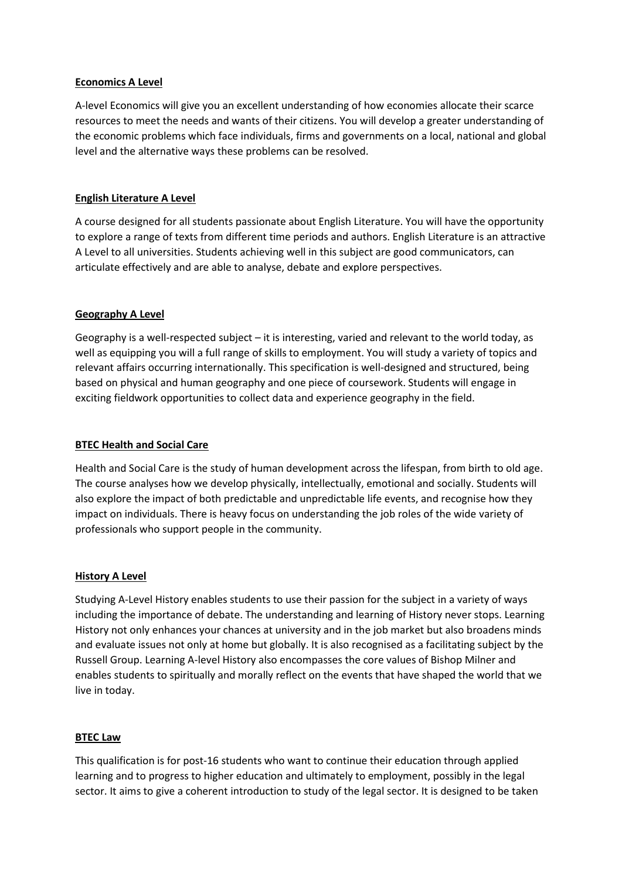### **Economics A Level**

A-level Economics will give you an excellent understanding of how economies allocate their scarce resources to meet the needs and wants of their citizens. You will develop a greater understanding of the economic problems which face individuals, firms and governments on a local, national and global level and the alternative ways these problems can be resolved.

# **English Literature A Level**

A course designed for all students passionate about English Literature. You will have the opportunity to explore a range of texts from different time periods and authors. English Literature is an attractive A Level to all universities. Students achieving well in this subject are good communicators, can articulate effectively and are able to analyse, debate and explore perspectives.

# **Geography A Level**

Geography is a well-respected subject – it is interesting, varied and relevant to the world today, as well as equipping you will a full range of skills to employment. You will study a variety of topics and relevant affairs occurring internationally. This specification is well-designed and structured, being based on physical and human geography and one piece of coursework. Students will engage in exciting fieldwork opportunities to collect data and experience geography in the field.

## **BTEC Health and Social Care**

Health and Social Care is the study of human development across the lifespan, from birth to old age. The course analyses how we develop physically, intellectually, emotional and socially. Students will also explore the impact of both predictable and unpredictable life events, and recognise how they impact on individuals. There is heavy focus on understanding the job roles of the wide variety of professionals who support people in the community.

#### **History A Level**

Studying A-Level History enables students to use their passion for the subject in a variety of ways including the importance of debate. The understanding and learning of History never stops. Learning History not only enhances your chances at university and in the job market but also broadens minds and evaluate issues not only at home but globally. It is also recognised as a facilitating subject by the Russell Group. Learning A-level History also encompasses the core values of Bishop Milner and enables students to spiritually and morally reflect on the events that have shaped the world that we live in today.

#### **BTEC Law**

This qualification is for post-16 students who want to continue their education through applied learning and to progress to higher education and ultimately to employment, possibly in the legal sector. It aims to give a coherent introduction to study of the legal sector. It is designed to be taken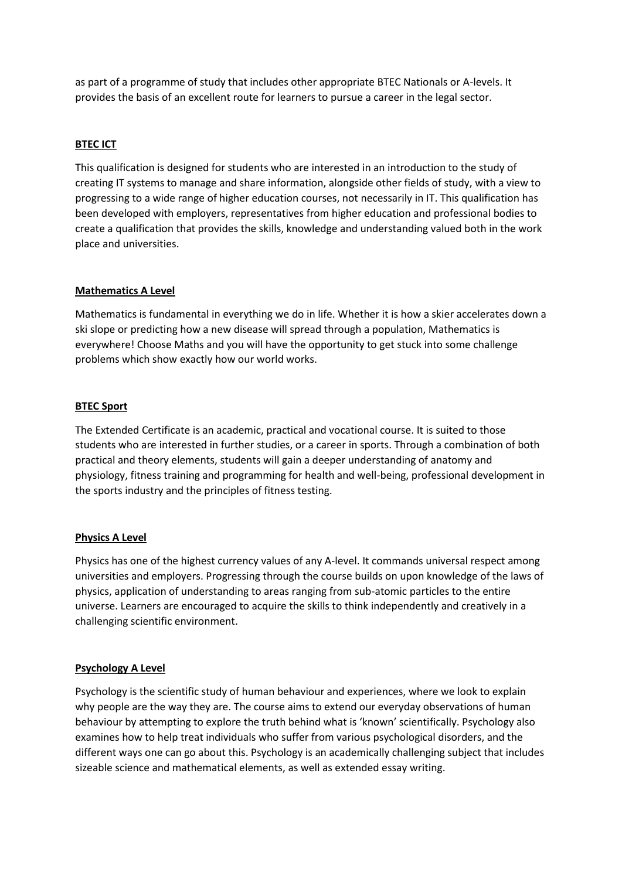as part of a programme of study that includes other appropriate BTEC Nationals or A-levels. It provides the basis of an excellent route for learners to pursue a career in the legal sector.

### **BTEC ICT**

This qualification is designed for students who are interested in an introduction to the study of creating IT systems to manage and share information, alongside other fields of study, with a view to progressing to a wide range of higher education courses, not necessarily in IT. This qualification has been developed with employers, representatives from higher education and professional bodies to create a qualification that provides the skills, knowledge and understanding valued both in the work place and universities.

#### **Mathematics A Level**

Mathematics is fundamental in everything we do in life. Whether it is how a skier accelerates down a ski slope or predicting how a new disease will spread through a population, Mathematics is everywhere! Choose Maths and you will have the opportunity to get stuck into some challenge problems which show exactly how our world works.

## **BTEC Sport**

The Extended Certificate is an academic, practical and vocational course. It is suited to those students who are interested in further studies, or a career in sports. Through a combination of both practical and theory elements, students will gain a deeper understanding of anatomy and physiology, fitness training and programming for health and well-being, professional development in the sports industry and the principles of fitness testing.

# **Physics A Level**

Physics has one of the highest currency values of any A-level. It commands universal respect among universities and employers. Progressing through the course builds on upon knowledge of the laws of physics, application of understanding to areas ranging from sub-atomic particles to the entire universe. Learners are encouraged to acquire the skills to think independently and creatively in a challenging scientific environment.

#### **Psychology A Level**

Psychology is the scientific study of human behaviour and experiences, where we look to explain why people are the way they are. The course aims to extend our everyday observations of human behaviour by attempting to explore the truth behind what is 'known' scientifically. Psychology also examines how to help treat individuals who suffer from various psychological disorders, and the different ways one can go about this. Psychology is an academically challenging subject that includes sizeable science and mathematical elements, as well as extended essay writing.